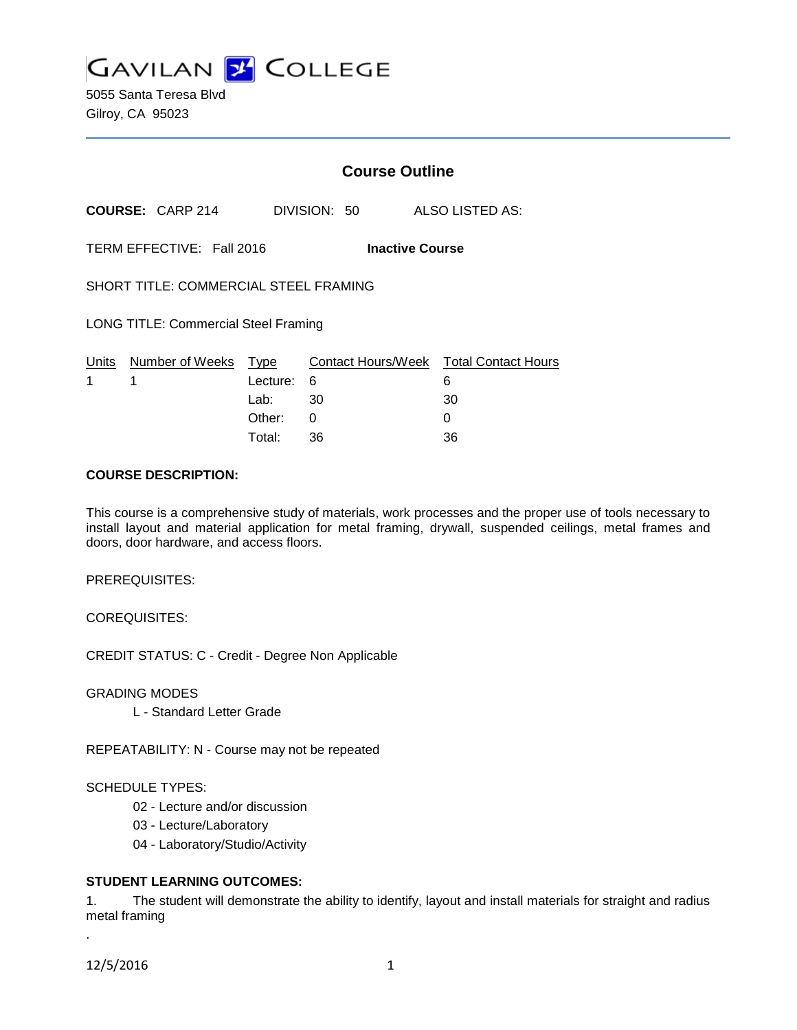**GAVILAN 2 COLLEGE** 

5055 Santa Teresa Blvd Gilroy, CA 95023

# **Course Outline**

**COURSE:** CARP 214 DIVISION: 50 ALSO LISTED AS:

TERM EFFECTIVE: Fall 2016 **Inactive Course**

SHORT TITLE: COMMERCIAL STEEL FRAMING

LONG TITLE: Commercial Steel Framing

|             | Units Number of Weeks Type |            | Contact Hours/Week Total Contact Hours |    |
|-------------|----------------------------|------------|----------------------------------------|----|
| $1 \quad 1$ |                            | Lecture: 6 |                                        |    |
|             |                            | Lab: _     | - 30                                   | 30 |
|             |                            | Other: 0   |                                        |    |
|             |                            | Total:     | -36                                    | 36 |

#### **COURSE DESCRIPTION:**

This course is a comprehensive study of materials, work processes and the proper use of tools necessary to install layout and material application for metal framing, drywall, suspended ceilings, metal frames and doors, door hardware, and access floors.

PREREQUISITES:

COREQUISITES:

CREDIT STATUS: C - Credit - Degree Non Applicable

GRADING MODES

L - Standard Letter Grade

REPEATABILITY: N - Course may not be repeated

#### SCHEDULE TYPES:

- 02 Lecture and/or discussion
- 03 Lecture/Laboratory
- 04 Laboratory/Studio/Activity

#### **STUDENT LEARNING OUTCOMES:**

1. The student will demonstrate the ability to identify, layout and install materials for straight and radius metal framing

12/5/2016 1

.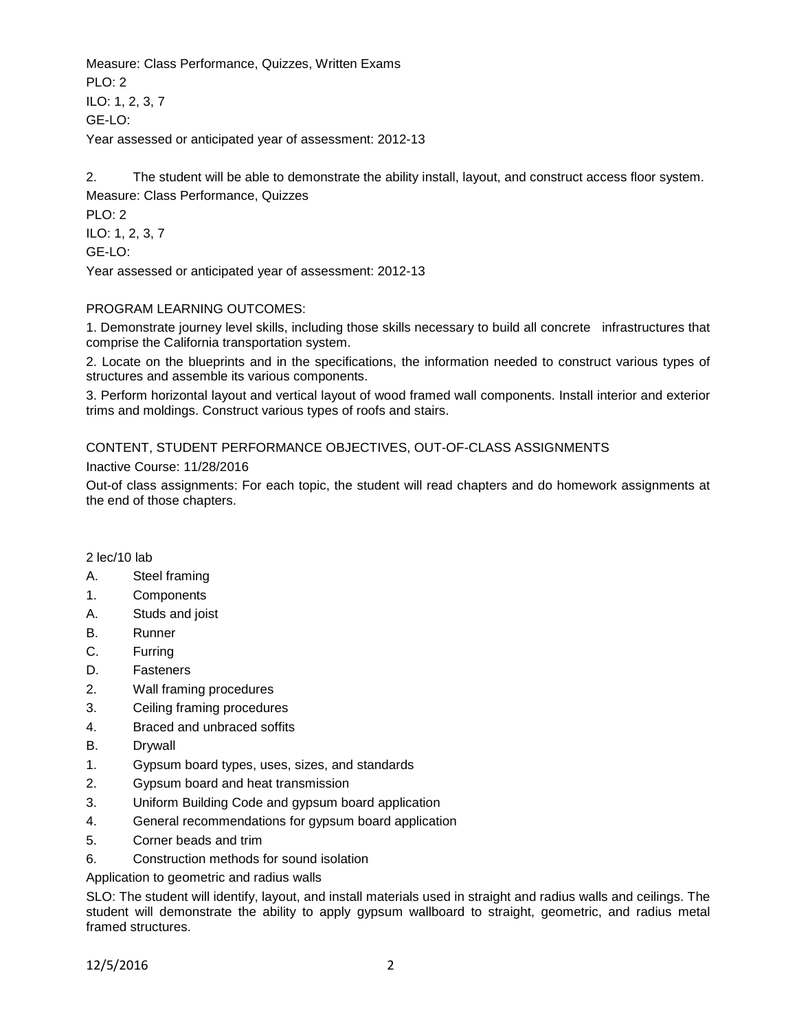Measure: Class Performance, Quizzes, Written Exams  $PLO: 2$ ILO: 1, 2, 3, 7 GE-LO: Year assessed or anticipated year of assessment: 2012-13

2. The student will be able to demonstrate the ability install, layout, and construct access floor system. Measure: Class Performance, Quizzes

PLO: 2 ILO: 1, 2, 3, 7 GE-LO: Year assessed or anticipated year of assessment: 2012-13

## PROGRAM LEARNING OUTCOMES:

1. Demonstrate journey level skills, including those skills necessary to build all concrete infrastructures that comprise the California transportation system.

2. Locate on the blueprints and in the specifications, the information needed to construct various types of structures and assemble its various components.

3. Perform horizontal layout and vertical layout of wood framed wall components. Install interior and exterior trims and moldings. Construct various types of roofs and stairs.

# CONTENT, STUDENT PERFORMANCE OBJECTIVES, OUT-OF-CLASS ASSIGNMENTS

#### Inactive Course: 11/28/2016

Out-of class assignments: For each topic, the student will read chapters and do homework assignments at the end of those chapters.

## 2 lec/10 lab

- A. Steel framing
- 1. Components
- A. Studs and joist
- B. Runner
- C. Furring
- D. Fasteners
- 2. Wall framing procedures
- 3. Ceiling framing procedures
- 4. Braced and unbraced soffits
- B. Drywall
- 1. Gypsum board types, uses, sizes, and standards
- 2. Gypsum board and heat transmission
- 3. Uniform Building Code and gypsum board application
- 4. General recommendations for gypsum board application
- 5. Corner beads and trim
- 6. Construction methods for sound isolation

#### Application to geometric and radius walls

SLO: The student will identify, layout, and install materials used in straight and radius walls and ceilings. The student will demonstrate the ability to apply gypsum wallboard to straight, geometric, and radius metal framed structures.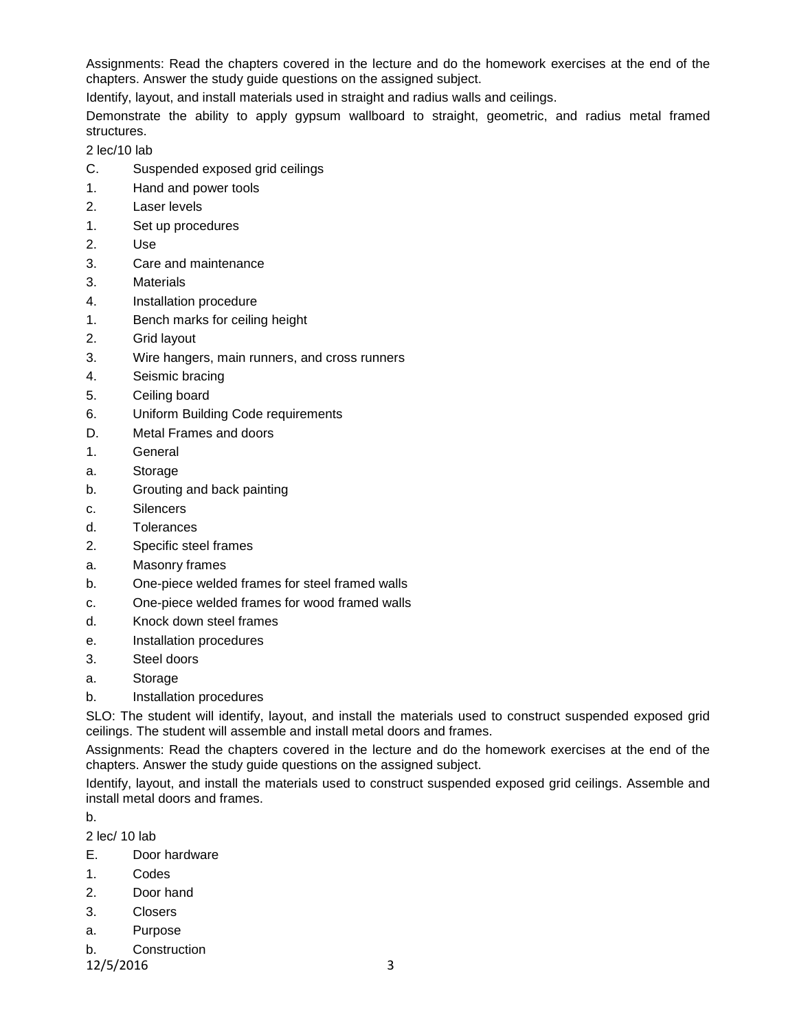Assignments: Read the chapters covered in the lecture and do the homework exercises at the end of the chapters. Answer the study guide questions on the assigned subject.

Identify, layout, and install materials used in straight and radius walls and ceilings.

Demonstrate the ability to apply gypsum wallboard to straight, geometric, and radius metal framed structures.

2 lec/10 lab

- C. Suspended exposed grid ceilings
- 1. Hand and power tools
- 2. Laser levels
- 1. Set up procedures
- 2. Use
- 3. Care and maintenance
- 3. Materials
- 4. Installation procedure
- 1. Bench marks for ceiling height
- 2. Grid layout
- 3. Wire hangers, main runners, and cross runners
- 4. Seismic bracing
- 5. Ceiling board
- 6. Uniform Building Code requirements
- D. Metal Frames and doors
- 1. General
- a. Storage
- b. Grouting and back painting
- c. Silencers
- d. Tolerances
- 2. Specific steel frames
- a. Masonry frames
- b. One-piece welded frames for steel framed walls
- c. One-piece welded frames for wood framed walls
- d. Knock down steel frames
- e. Installation procedures
- 3. Steel doors
- a. Storage
- b. Installation procedures

SLO: The student will identify, layout, and install the materials used to construct suspended exposed grid ceilings. The student will assemble and install metal doors and frames.

Assignments: Read the chapters covered in the lecture and do the homework exercises at the end of the chapters. Answer the study guide questions on the assigned subject.

Identify, layout, and install the materials used to construct suspended exposed grid ceilings. Assemble and install metal doors and frames.

b.

2 lec/ 10 lab

- E. Door hardware
- 1. Codes
- 2. Door hand
- 3. Closers
- a. Purpose
- b. Construction

12/5/2016 3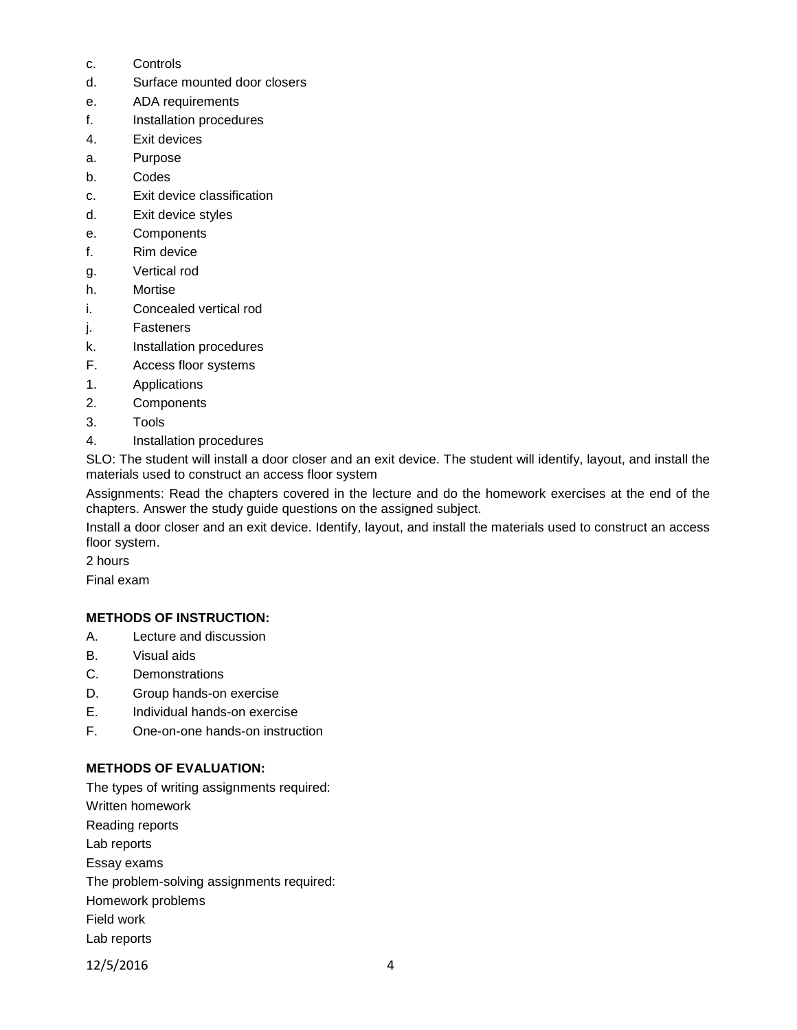- c. Controls
- d. Surface mounted door closers
- e. ADA requirements
- f. Installation procedures
- 4. Exit devices
- a. Purpose
- b. Codes
- c. Exit device classification
- d. Exit device styles
- e. Components
- f. Rim device
- g. Vertical rod
- h. Mortise
- i. Concealed vertical rod
- j. Fasteners
- k. Installation procedures
- F. Access floor systems
- 1. Applications
- 2. Components
- 3. Tools
- 4. Installation procedures

SLO: The student will install a door closer and an exit device. The student will identify, layout, and install the materials used to construct an access floor system

Assignments: Read the chapters covered in the lecture and do the homework exercises at the end of the chapters. Answer the study guide questions on the assigned subject.

Install a door closer and an exit device. Identify, layout, and install the materials used to construct an access floor system.

2 hours

Final exam

# **METHODS OF INSTRUCTION:**

- A. Lecture and discussion
- B. Visual aids
- C. Demonstrations
- D. Group hands-on exercise
- E. Individual hands-on exercise
- F. One-on-one hands-on instruction

# **METHODS OF EVALUATION:**

The types of writing assignments required: Written homework Reading reports Lab reports Essay exams The problem-solving assignments required: Homework problems Field work Lab reports

12/5/2016 4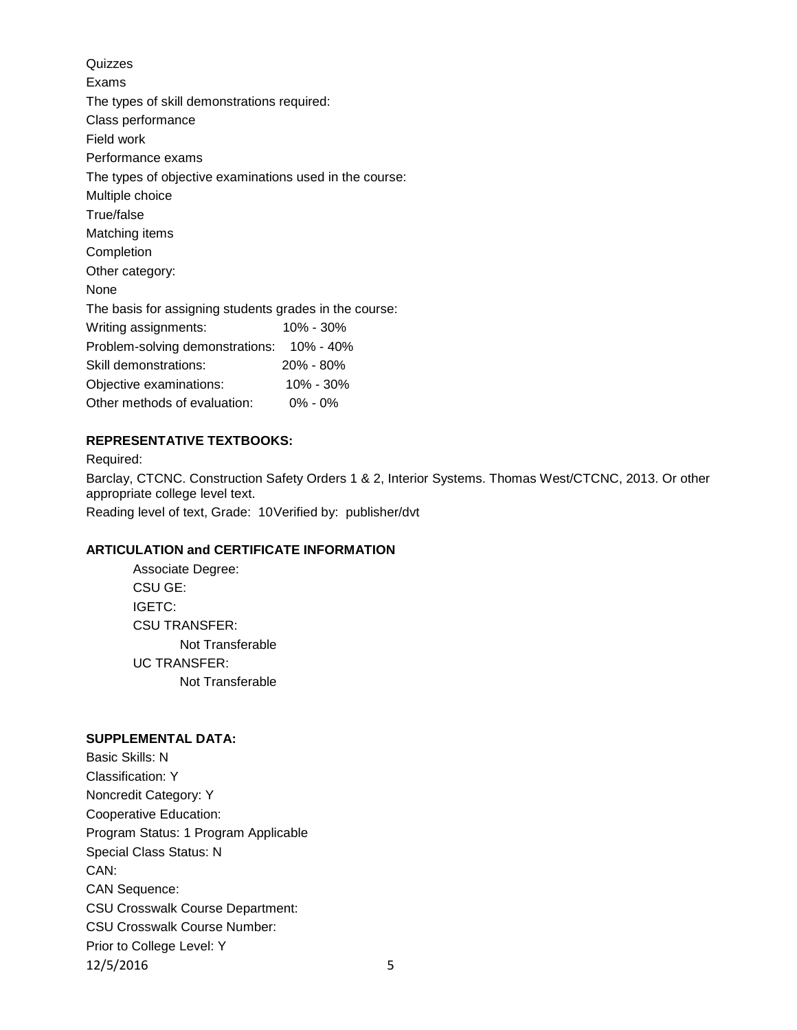Quizzes Exams The types of skill demonstrations required: Class performance Field work Performance exams The types of objective examinations used in the course: Multiple choice True/false Matching items Completion Other category: None The basis for assigning students grades in the course: Writing assignments: 10% - 30% Problem-solving demonstrations: 10% - 40% Skill demonstrations: 20% - 80% Objective examinations: 10% - 30% Other methods of evaluation: 0% - 0%

## **REPRESENTATIVE TEXTBOOKS:**

Required: Barclay, CTCNC. Construction Safety Orders 1 & 2, Interior Systems. Thomas West/CTCNC, 2013. Or other appropriate college level text. Reading level of text, Grade: 10Verified by: publisher/dvt

## **ARTICULATION and CERTIFICATE INFORMATION**

Associate Degree: CSU GE: IGETC: CSU TRANSFER: Not Transferable UC TRANSFER: Not Transferable

### **SUPPLEMENTAL DATA:**

Basic Skills: N Classification: Y Noncredit Category: Y Cooperative Education: Program Status: 1 Program Applicable Special Class Status: N CAN: CAN Sequence: CSU Crosswalk Course Department: CSU Crosswalk Course Number: Prior to College Level: Y 12/5/2016 5